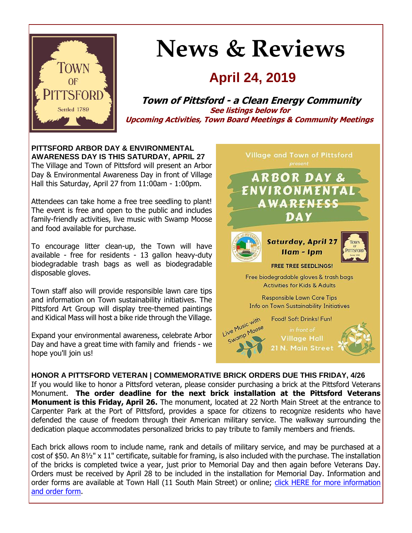

# **News & Reviews**

# **April 24, 2019**

**Town of Pittsford - a Clean Energy Community See listings below for Upcoming Activities, Town Board Meetings & Community Meetings**

**PITTSFORD ARBOR DAY & ENVIRONMENTAL AWARENESS DAY IS THIS SATURDAY, APRIL 27** The Village and Town of Pittsford will present an Arbor Day & Environmental Awareness Day in front of Village Hall this Saturday, April 27 from 11:00am - 1:00pm.

Attendees can take home a free tree seedling to plant! The event is free and open to the public and includes family-friendly activities, live music with Swamp Moose and food available for purchase.

To encourage litter clean-up, the Town will have available - free for residents - 13 gallon heavy-duty biodegradable trash bags as well as biodegradable disposable gloves.

Town staff also will provide responsible lawn care tips and information on Town sustainability initiatives. The Pittsford Art Group will display tree-themed paintings and Kidical Mass will host a bike ride through the Village.

Expand your environmental awareness, celebrate Arbor Day and have a great time with family and friends - we hope you'll join us!



# **HONOR A PITTSFORD VETERAN | COMMEMORATIVE BRICK ORDERS DUE THIS FRIDAY, 4/26**

If you would like to honor a Pittsford veteran, please consider purchasing a brick at the Pittsford Veterans Monument. **The order deadline for the next brick installation at the Pittsford Veterans Monument is this Friday, April 26.** The monument, located at 22 North Main Street at the entrance to Carpenter Park at the Port of Pittsford, provides a space for citizens to recognize residents who have defended the cause of freedom through their American military service. The walkway surrounding the dedication plaque accommodates personalized bricks to pay tribute to family members and friends.

Each brick allows room to include name, rank and details of military service, and may be purchased at a cost of \$50. An 8½" x 11" certificate, suitable for framing, is also included with the purchase. The installation of the bricks is completed twice a year, just prior to Memorial Day and then again before Veterans Day. Orders must be received by April 28 to be included in the installation for Memorial Day. Information and order forms are available at Town Hall (11 South Main Street) or online; click HERE for more information [and order form.](http://r20.rs6.net/tn.jsp?f=001os6IWIa9T6cs6POUmznAr03ffSsE5BcsRG_rAVGRK0ZEL-1j5D-JiNWaUKESjkZP5uCvxW8vZoC-V-p8XFEuK2YCOmrBnnFlJZyFIL6XCHX1jWyeLmRKRU428EztqDUHil1QcR7E51j7XF3B1WrmG0wNVuavsqlTcR9tN-Bq732mbkFQ2JXVeX_kKjh9oTgE5IjT8HCFqJt9MpEnk_A8oA9rkNVZc8N-GAhv6Dn6vN_Bi4C74dbutov6_ZM0hXn4gKst0njKKdaAZoJPUdswP0z3ZFdS_44cKofgQz5fJvKVz9maGgyHQQ==&c=cRUaQu7vLK3vSnq5f4iPQhJIv0PQXWA4LaRRA7ehtXl4ARSDIeEqNA==&ch=JVjVns_vbiQ7mzj58KT5JUjvdTbNlsTo9M0MtIYGvNDwR_pCqcNqcw==)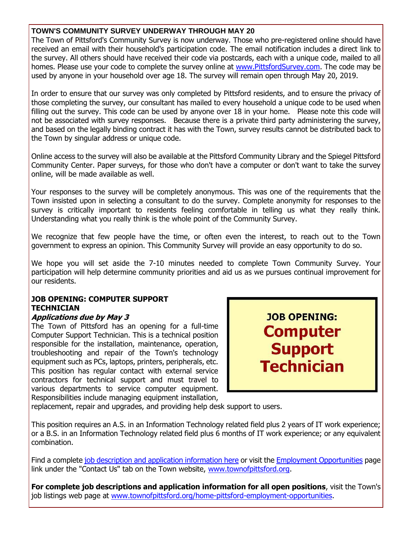# **TOWN'S COMMUNITY SURVEY UNDERWAY THROUGH MAY 20**

The Town of Pittsford's Community Survey is now underway. Those who pre-registered online should have received an email with their household's participation code. The email notification includes a direct link to the survey. All others should have received their code via postcards, each with a unique code, mailed to all homes. Please use your code to complete the survey online at [www.PittsfordSurvey.com.](http://r20.rs6.net/tn.jsp?f=001os6IWIa9T6cs6POUmznAr03ffSsE5BcsRG_rAVGRK0ZEL-1j5D-JiMVxqhxwucFEY3JZaqa_3qdEsr54d5OVvV2rve5wyZ2oAWK95ezJJeGyZFE16KSVq_eABLgO0CMQbDaXNXM4APDOXgefVZDt5uB9gwezWo-rjXjGFvbvWXO7dpK_uVj-EVG49rIVg3THcsn6P6S6MocXVctbzFMB4W4CvcOzhqkwUnG58fNwnNOTD9pMSmi1ZrqZI9BoFRueVBdbuKUVxoWtSfeMEAXr6XmLM_BaHXvIHuqWImQeZ_o=&c=cRUaQu7vLK3vSnq5f4iPQhJIv0PQXWA4LaRRA7ehtXl4ARSDIeEqNA==&ch=JVjVns_vbiQ7mzj58KT5JUjvdTbNlsTo9M0MtIYGvNDwR_pCqcNqcw==) The code may be used by anyone in your household over age 18. The survey will remain open through May 20, 2019.

In order to ensure that our survey was only completed by Pittsford residents, and to ensure the privacy of those completing the survey, our consultant has mailed to every household a unique code to be used when filling out the survey. This code can be used by anyone over 18 in your home. Please note this code will not be associated with survey responses. Because there is a private third party administering the survey, and based on the legally binding contract it has with the Town, survey results cannot be distributed back to the Town by singular address or unique code.

Online access to the survey will also be available at the Pittsford Community Library and the Spiegel Pittsford Community Center. Paper surveys, for those who don't have a computer or don't want to take the survey online, will be made available as well.

Your responses to the survey will be completely anonymous. This was one of the requirements that the Town insisted upon in selecting a consultant to do the survey. Complete anonymity for responses to the survey is critically important to residents feeling comfortable in telling us what they really think. Understanding what you really think is the whole point of the Community Survey.

We recognize that few people have the time, or often even the interest, to reach out to the Town government to express an opinion. This Community Survey will provide an easy opportunity to do so.

We hope you will set aside the 7-10 minutes needed to complete Town Community Survey. Your participation will help determine community priorities and aid us as we pursues continual improvement for our residents.

# **JOB OPENING: COMPUTER SUPPORT TECHNICIAN**

#### **Applications due by May 3**

The Town of Pittsford has an opening for a full-time Computer Support Technician. This is a technical position responsible for the installation, maintenance, operation, troubleshooting and repair of the Town's technology equipment such as PCs, laptops, printers, peripherals, etc. This position has regular contact with external service contractors for technical support and must travel to various departments to service computer equipment. Responsibilities include managing equipment installation,

**JOB OPENING: Computer Support Technician** 

replacement, repair and upgrades, and providing help desk support to users.

This position requires an A.S. in an Information Technology related field plus 2 years of IT work experience; or a B.S. in an Information Technology related field plus 6 months of IT work experience; or any equivalent combination.

Find a complete [job description and application information here](http://r20.rs6.net/tn.jsp?f=001os6IWIa9T6cs6POUmznAr03ffSsE5BcsRG_rAVGRK0ZEL-1j5D-JiPAIN5LfDKR65jF4DZkFq0PyIVQ0VeHI-ztvxNzagB7rSLLFxIx0HcOmlRwi8fXOStq-HhJaxa8-y4m4XbuHbyODgMwl539WFg70CfRW7WH522pXxzJlVA-DMHeuH_pPVGdRNHRHs6Ph63PHdzM6HYGou90pCZ6AupOnYhMiAdoeQudkLFNBnYQpcL-iptWWR0I_xUBD9z_WcRMd1SBWEkl_hyx_tFgRKoAyC5kNba-t2QHEYvyrwgmJGRAfuX5yvfPWF_LXAxbNX1hKuZEIBoiXZDjPnzjVe700G-BcmIDPXrR6FZ2VXvqMNmvkLtxNaMWCxM-IZteLptDUpcMOelnHoPAYGWpwS7vQ7ch4hLiH&c=cRUaQu7vLK3vSnq5f4iPQhJIv0PQXWA4LaRRA7ehtXl4ARSDIeEqNA==&ch=JVjVns_vbiQ7mzj58KT5JUjvdTbNlsTo9M0MtIYGvNDwR_pCqcNqcw==) or visit the [Employment Opportunities](http://r20.rs6.net/tn.jsp?f=001os6IWIa9T6cs6POUmznAr03ffSsE5BcsRG_rAVGRK0ZEL-1j5D-JiG6j8SLm5Hn9TYodzCCIFcxr2lsrNZLrhb8aEO9yUF9iOGYOOMNNxsEH_Bxcfufv328xEa-d2Y27t_UCkX65KSxkLdWcUQ0EnMABIc_d_ToaFwgpbrv9PHXM4FjGSKHxWRB1tZtuxvyuO5b1BTw7TI3kBSS5kSUcZFJoO0CoRINjAaUR82eI8VnQcZA1yfTu3_aY-m07vP2MNtB70fX5f9ZmSi2t4pd4lbgHktN79dUQgDzVzArXaKzYye6uJdUeZqtLMOjpo6OVTSBJdEEGozIcL9j9G2smZks71BqgsrjB&c=cRUaQu7vLK3vSnq5f4iPQhJIv0PQXWA4LaRRA7ehtXl4ARSDIeEqNA==&ch=JVjVns_vbiQ7mzj58KT5JUjvdTbNlsTo9M0MtIYGvNDwR_pCqcNqcw==) page link under the "Contact Us" tab on the Town website, [www.townofpittsford.org.](http://www.townofpittsford.org/)

**For complete job descriptions and application information for all open positions**, visit the Town's job listings web page at [www.townofpittsford.org/home-pittsford-employment-opportunities.](http://r20.rs6.net/tn.jsp?f=001os6IWIa9T6cs6POUmznAr03ffSsE5BcsRG_rAVGRK0ZEL-1j5D-JiG6j8SLm5Hn9TYodzCCIFcxr2lsrNZLrhb8aEO9yUF9iOGYOOMNNxsEH_Bxcfufv328xEa-d2Y27t_UCkX65KSxkLdWcUQ0EnMABIc_d_ToaFwgpbrv9PHXM4FjGSKHxWRB1tZtuxvyuO5b1BTw7TI3kBSS5kSUcZFJoO0CoRINjAaUR82eI8VnQcZA1yfTu3_aY-m07vP2MNtB70fX5f9ZmSi2t4pd4lbgHktN79dUQgDzVzArXaKzYye6uJdUeZqtLMOjpo6OVTSBJdEEGozIcL9j9G2smZks71BqgsrjB&c=cRUaQu7vLK3vSnq5f4iPQhJIv0PQXWA4LaRRA7ehtXl4ARSDIeEqNA==&ch=JVjVns_vbiQ7mzj58KT5JUjvdTbNlsTo9M0MtIYGvNDwR_pCqcNqcw==)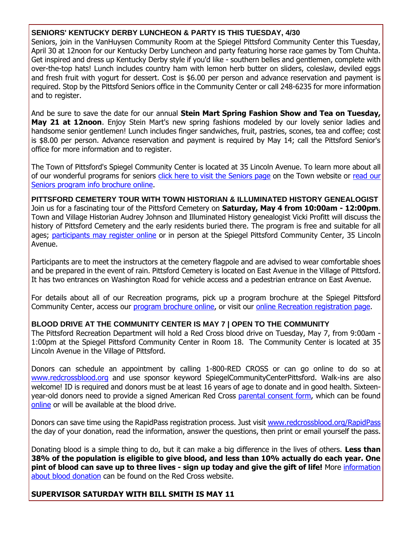# **SENIORS' KENTUCKY DERBY LUNCHEON & PARTY IS THIS TUESDAY, 4/30**

Seniors, join in the VanHuysen Community Room at the Spiegel Pittsford Community Center this Tuesday, April 30 at 12noon for our Kentucky Derby Luncheon and party featuring horse race games by Tom Chuhta. Get inspired and dress up Kentucky Derby style if you'd like - southern belles and gentlemen, complete with over-the-top hats! Lunch includes country ham with lemon herb butter on sliders, coleslaw, deviled eggs and fresh fruit with yogurt for dessert. Cost is \$6.00 per person and advance reservation and payment is required. Stop by the Pittsford Seniors office in the Community Center or call 248-6235 for more information and to register.

And be sure to save the date for our annual **Stein Mart Spring Fashion Show and Tea on Tuesday, May 21 at 12noon**. Enjoy Stein Mart's new spring fashions modeled by our lovely senior ladies and handsome senior gentlemen! Lunch includes finger sandwiches, fruit, pastries, scones, tea and coffee; cost is \$8.00 per person. Advance reservation and payment is required by May 14; call the Pittsford Senior's office for more information and to register.

The Town of Pittsford's Spiegel Community Center is located at 35 Lincoln Avenue. To learn more about all of our wonderful programs for seniors [click here to visit the Seniors page](http://r20.rs6.net/tn.jsp?f=001os6IWIa9T6cs6POUmznAr03ffSsE5BcsRG_rAVGRK0ZEL-1j5D-JiNWaUKESjkZPZ-zGo8nmywWzTnrgrFx0SSHYTM0FiboJHSq6wld1hvn8410LeixIgLkm2eDkNciYTKStbyeT9ZUwgArlOVMMiN1CLCRiwyIrIUSHbYC5h2lGRyljmzINskuZMxYL_qjDundez3ftZjb6cbYPmOnE7b0W4NT7aBhHi2seE-qADyF21v-GNcX_lIzb1zY4W1BM-52LpcgLJ8HXKDQlmdyi6-QGV3Lc1vclnD_ZuOY7anrZn92WJJfgtEEXb2Zx6hon&c=cRUaQu7vLK3vSnq5f4iPQhJIv0PQXWA4LaRRA7ehtXl4ARSDIeEqNA==&ch=JVjVns_vbiQ7mzj58KT5JUjvdTbNlsTo9M0MtIYGvNDwR_pCqcNqcw==) on the Town website or [read our](http://r20.rs6.net/tn.jsp?f=001os6IWIa9T6cs6POUmznAr03ffSsE5BcsRG_rAVGRK0ZEL-1j5D-JiIvmE1ekZBMmJXl1dDQOPB6K3ku8h52t-8AgTdflL_l446RR8VYsgjIPU20HeQepsqSS4HE8KgCtscvy7Nl8_WOgf5BcLbq9SUOIsasZNo0OTL2bM6cjmaLstW9V56ESbOOq6Fw_aM39liQ3DSnA5DOT8CcSgWK2ZmQUwhElw2RzELV-EzLuBLMzqHHgjjyhXNBzB9_en3grpLiFmQFeYLP3eg0KBz3_--xjGv0lgB-3IMO6xLFZed6WM8tQbkA_4dKLDk8Xlpjn9zLkpJ3PKvTRSC7rs7oR2apsetG9bkDP-egvOI_Dp0da3qDQZkq13A==&c=cRUaQu7vLK3vSnq5f4iPQhJIv0PQXWA4LaRRA7ehtXl4ARSDIeEqNA==&ch=JVjVns_vbiQ7mzj58KT5JUjvdTbNlsTo9M0MtIYGvNDwR_pCqcNqcw==)  [Seniors program info brochure online.](http://r20.rs6.net/tn.jsp?f=001os6IWIa9T6cs6POUmznAr03ffSsE5BcsRG_rAVGRK0ZEL-1j5D-JiIvmE1ekZBMmJXl1dDQOPB6K3ku8h52t-8AgTdflL_l446RR8VYsgjIPU20HeQepsqSS4HE8KgCtscvy7Nl8_WOgf5BcLbq9SUOIsasZNo0OTL2bM6cjmaLstW9V56ESbOOq6Fw_aM39liQ3DSnA5DOT8CcSgWK2ZmQUwhElw2RzELV-EzLuBLMzqHHgjjyhXNBzB9_en3grpLiFmQFeYLP3eg0KBz3_--xjGv0lgB-3IMO6xLFZed6WM8tQbkA_4dKLDk8Xlpjn9zLkpJ3PKvTRSC7rs7oR2apsetG9bkDP-egvOI_Dp0da3qDQZkq13A==&c=cRUaQu7vLK3vSnq5f4iPQhJIv0PQXWA4LaRRA7ehtXl4ARSDIeEqNA==&ch=JVjVns_vbiQ7mzj58KT5JUjvdTbNlsTo9M0MtIYGvNDwR_pCqcNqcw==)

**PITTSFORD CEMETERY TOUR WITH TOWN HISTORIAN & ILLUMINATED HISTORY GENEALOGIST**  Join us for a fascinating tour of the Pittsford Cemetery on **Saturday, May 4 from 10:00am - 12:00pm**. Town and Village Historian Audrey Johnson and Illuminated History genealogist Vicki Profitt will discuss the history of Pittsford Cemetery and the early residents buried there. The program is free and suitable for all ages; [participants may register online](http://r20.rs6.net/tn.jsp?f=001os6IWIa9T6cs6POUmznAr03ffSsE5BcsRG_rAVGRK0ZEL-1j5D-JiPbo-FEII93bNI2SUccbSlqO_iwp3WOB6hinMTPT9xTqN2Q5Tq5a86oDaLNny6GDk-Tx52sTAZn-SiMkIOCmNDnaaZhi-axN00huAv8NfJGFFzuFZ23lBpCJVfjPjulnwoZ9SJvV9TynJed2mLDsJlhb6Y0T_hhtjwfBuu_EF1nFapUu4pAgcRWUCDSunkMQXEV337MheaGvTOlWSVp1wrI51b3UjE-bFO8e9wSnBix4Mf-MXhLMNNDFPeOFSne2G2j1bXeO7J9bO1VRZb8j7pyhc1cmMbZw34KBhtK2-J7ADQ0rxgnsYOiGYONZh9ugFMZhvmjfm-PqffQBEYQQ_h-5aJYCNxEvhgHCSxhjEnLumKmRNjkrE0MrSm6S39smimFHhRFSkM0n&c=cRUaQu7vLK3vSnq5f4iPQhJIv0PQXWA4LaRRA7ehtXl4ARSDIeEqNA==&ch=JVjVns_vbiQ7mzj58KT5JUjvdTbNlsTo9M0MtIYGvNDwR_pCqcNqcw==) or in person at the Spiegel Pittsford Community Center, 35 Lincoln Avenue.

Participants are to meet the instructors at the cemetery flagpole and are advised to wear comfortable shoes and be prepared in the event of rain. Pittsford Cemetery is located on East Avenue in the Village of Pittsford. It has two entrances on Washington Road for vehicle access and a pedestrian entrance on East Avenue.

For details about all of our Recreation programs, pick up a program brochure at the Spiegel Pittsford Community Center, access our [program brochure online,](http://r20.rs6.net/tn.jsp?f=001os6IWIa9T6cs6POUmznAr03ffSsE5BcsRG_rAVGRK0ZEL-1j5D-JiJZIb4XAF-oyRr9KcMZaIf0MNlouslQAnkISGeiybh-3YyH55hhP7PEzLh4vaO6qa7nsJAXMYIOTdOmTXU1PC6iL-A37JHuFIHz-jDtTku6XSB8VaMs5INIeDNEPZnEgWADrrKAUdoIxk0N_j3YL2NBcWBSvw3flYG4Hw_SKRd_lhCS80NmqI_OnuGM0Timrax1Nb_F6xShNbdUz_t8C12KLuFPM2MuC6fNYD90o5KT0HZ7ukFHapavXGoBeXLTpxoprOl3xX1EqNjt7Cv6HlEHVO8qL5nfejQ==&c=cRUaQu7vLK3vSnq5f4iPQhJIv0PQXWA4LaRRA7ehtXl4ARSDIeEqNA==&ch=JVjVns_vbiQ7mzj58KT5JUjvdTbNlsTo9M0MtIYGvNDwR_pCqcNqcw==) or visit our [online Recreation registration page.](http://r20.rs6.net/tn.jsp?f=001os6IWIa9T6cs6POUmznAr03ffSsE5BcsRG_rAVGRK0ZEL-1j5D-JiJEWkL8511uTXwwnPR9At4pExITxTa6gySm4A0DVUQ-2Nel18SXeGB326dxMNJ9WmoD5KSS_lZSDKI9TfqwZ_swzS64NS9P8wUSs0BybmQQROZCNgJgiiEaO-eVxc67Vsfxvwwvx0Kr6Htv_Q22AkYBCfn48DSupmzc-PZsbYeuxKSD3BpsrvykDLWvs_XxGVnvsrDK47hkjGHnAIdKeRUxbCibCyfK-6iigNx23raA6RJuXMbSUHFAq7UBowNUSVCyDdcX4PcEk_vTYOO6ev_boOVWFOvZjpyY9Ncasy78q&c=cRUaQu7vLK3vSnq5f4iPQhJIv0PQXWA4LaRRA7ehtXl4ARSDIeEqNA==&ch=JVjVns_vbiQ7mzj58KT5JUjvdTbNlsTo9M0MtIYGvNDwR_pCqcNqcw==)

# **BLOOD DRIVE AT THE COMMUNITY CENTER IS MAY 7 | OPEN TO THE COMMUNITY**

The Pittsford Recreation Department will hold a Red Cross blood drive on Tuesday, May 7, from 9:00am -1:00pm at the Spiegel Pittsford Community Center in Room 18. The Community Center is located at 35 Lincoln Avenue in the Village of Pittsford.

Donors can schedule an appointment by calling 1-800-RED CROSS or can go online to do so at [www.redcrossblood.org](http://r20.rs6.net/tn.jsp?f=001os6IWIa9T6cs6POUmznAr03ffSsE5BcsRG_rAVGRK0ZEL-1j5D-JiOmQ92jueHJz5Vn7D82pC0HkvkO3iNQBdTWnPAFbE8FeT3dxwF1dGgDgBGXWCclH788uosxInc-accUdJz-nJx_eiOehImXztyxXiYl67nznYM04ZZVUNPVlRcgkE1FZp3fDBixxeFHhwQ_bum81fCOne1MGAA8e8xqwOFG51Zle3s-u83v7Lw57UQfUga1jUnjY3i2p5Crtp22wc4lWRCLRw-5F5AzlkEM05w5iJiXarD00RVuJXsM=&c=cRUaQu7vLK3vSnq5f4iPQhJIv0PQXWA4LaRRA7ehtXl4ARSDIeEqNA==&ch=JVjVns_vbiQ7mzj58KT5JUjvdTbNlsTo9M0MtIYGvNDwR_pCqcNqcw==) and use sponsor keyword SpiegelCommunityCenterPittsford. Walk-ins are also welcome! ID is required and donors must be at least 16 years of age to donate and in good health. Sixteenyear-old donors need to provide a signed American Red Cross [parental consent form,](http://r20.rs6.net/tn.jsp?f=001os6IWIa9T6cs6POUmznAr03ffSsE5BcsRG_rAVGRK0ZEL-1j5D-JiFHXFYKBOCeqUfr5G1Rk9aVXLyp9nnluV0hIRojptLpKZMVu3iL9s8d8aLl6JBDddF-7tdJifB-Kn4Ojpj_LJpmhXbI2y5Lv18X-dSS2xZu57fjmkVFc7jBsfPXqyoWNEreKPoIxWu4X02qf-RUo1QaGAxTh2kFhpTio2ETiOjY48cXHDj8QmgusKMjkXfsvJ3o4mcLItF2GFzyvpiOQ9R1TN5cZ5fDpVYZM6a2pIxkFFXD5cCHP25cy6IoqWyI_ZPUmzDlVnqVSFBGsF9okkhY=&c=cRUaQu7vLK3vSnq5f4iPQhJIv0PQXWA4LaRRA7ehtXl4ARSDIeEqNA==&ch=JVjVns_vbiQ7mzj58KT5JUjvdTbNlsTo9M0MtIYGvNDwR_pCqcNqcw==) which can be found [online](http://r20.rs6.net/tn.jsp?f=001os6IWIa9T6cs6POUmznAr03ffSsE5BcsRG_rAVGRK0ZEL-1j5D-JiFHXFYKBOCeqUfr5G1Rk9aVXLyp9nnluV0hIRojptLpKZMVu3iL9s8d8aLl6JBDddF-7tdJifB-Kn4Ojpj_LJpmhXbI2y5Lv18X-dSS2xZu57fjmkVFc7jBsfPXqyoWNEreKPoIxWu4X02qf-RUo1QaGAxTh2kFhpTio2ETiOjY48cXHDj8QmgusKMjkXfsvJ3o4mcLItF2GFzyvpiOQ9R1TN5cZ5fDpVYZM6a2pIxkFFXD5cCHP25cy6IoqWyI_ZPUmzDlVnqVSFBGsF9okkhY=&c=cRUaQu7vLK3vSnq5f4iPQhJIv0PQXWA4LaRRA7ehtXl4ARSDIeEqNA==&ch=JVjVns_vbiQ7mzj58KT5JUjvdTbNlsTo9M0MtIYGvNDwR_pCqcNqcw==) or will be available at the blood drive.

Donors can save time using the RapidPass registration process. Just visit [www.redcrossblood.org/RapidPass](http://r20.rs6.net/tn.jsp?f=001os6IWIa9T6cs6POUmznAr03ffSsE5BcsRG_rAVGRK0ZEL-1j5D-JiENsIZh97RUsLtAE5iaBNjvn-7N4g6t1HfPv8V6x9ZNVqj0V_AFVU3VLZTveoXlU9WHRRBdg_J51pMTcHXhP_dzqcZ-0y3TZiwm6dahLjtcf_ByUU5hBt4Dvx6LQK6J9bsKQAS12aduDYChFdSpPMxsbE-7qCHGqd-q-iiflvmIR_f01zs32LrbL0xBlPZllua3TcyMjhCXnzZ_FCGAFiyuIfM2UiLrI_2-8fAB39uqUfZlXFXo6VHQoJyTIcIhfNg==&c=cRUaQu7vLK3vSnq5f4iPQhJIv0PQXWA4LaRRA7ehtXl4ARSDIeEqNA==&ch=JVjVns_vbiQ7mzj58KT5JUjvdTbNlsTo9M0MtIYGvNDwR_pCqcNqcw==) the day of your donation, read the information, answer the questions, then print or email yourself the pass.

Donating blood is a simple thing to do, but it can make a big difference in the lives of others. **Less than 38% of the population is eligible to give blood, and less than 10% actually do each year. One pint of blood can save up to three lives - sign up today and give the gift of life!** More [information](http://r20.rs6.net/tn.jsp?f=001os6IWIa9T6cs6POUmznAr03ffSsE5BcsRG_rAVGRK0ZEL-1j5D-JiOmQ92jueHJz5Vn7D82pC0HkvkO3iNQBdTWnPAFbE8FeT3dxwF1dGgDgBGXWCclH788uosxInc-accUdJz-nJx_eiOehImXztyxXiYl67nznYM04ZZVUNPVlRcgkE1FZp3fDBixxeFHhwQ_bum81fCOne1MGAA8e8xqwOFG51Zle3s-u83v7Lw57UQfUga1jUnjY3i2p5Crtp22wc4lWRCLRw-5F5AzlkEM05w5iJiXarD00RVuJXsM=&c=cRUaQu7vLK3vSnq5f4iPQhJIv0PQXWA4LaRRA7ehtXl4ARSDIeEqNA==&ch=JVjVns_vbiQ7mzj58KT5JUjvdTbNlsTo9M0MtIYGvNDwR_pCqcNqcw==)  [about blood donation](http://r20.rs6.net/tn.jsp?f=001os6IWIa9T6cs6POUmznAr03ffSsE5BcsRG_rAVGRK0ZEL-1j5D-JiOmQ92jueHJz5Vn7D82pC0HkvkO3iNQBdTWnPAFbE8FeT3dxwF1dGgDgBGXWCclH788uosxInc-accUdJz-nJx_eiOehImXztyxXiYl67nznYM04ZZVUNPVlRcgkE1FZp3fDBixxeFHhwQ_bum81fCOne1MGAA8e8xqwOFG51Zle3s-u83v7Lw57UQfUga1jUnjY3i2p5Crtp22wc4lWRCLRw-5F5AzlkEM05w5iJiXarD00RVuJXsM=&c=cRUaQu7vLK3vSnq5f4iPQhJIv0PQXWA4LaRRA7ehtXl4ARSDIeEqNA==&ch=JVjVns_vbiQ7mzj58KT5JUjvdTbNlsTo9M0MtIYGvNDwR_pCqcNqcw==) can be found on the Red Cross website.

**SUPERVISOR SATURDAY WITH BILL SMITH IS MAY 11**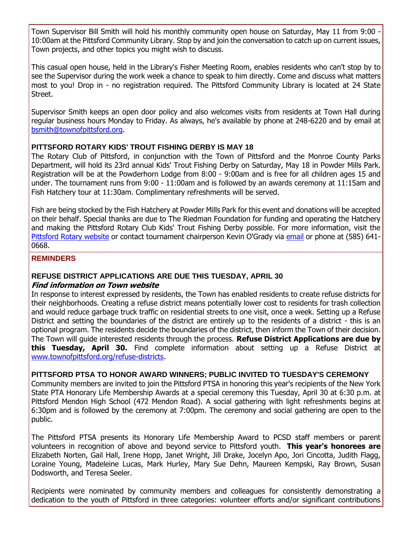Town Supervisor Bill Smith will hold his monthly community open house on Saturday, May 11 from 9:00 - 10:00am at the Pittsford Community Library. Stop by and join the conversation to catch up on current issues, Town projects, and other topics you might wish to discuss.

This casual open house, held in the Library's Fisher Meeting Room, enables residents who can't stop by to see the Supervisor during the work week a chance to speak to him directly. Come and discuss what matters most to you! Drop in - no registration required. The Pittsford Community Library is located at 24 State Street.

Supervisor Smith keeps an open door policy and also welcomes visits from residents at Town Hall during regular business hours Monday to Friday. As always, he's available by phone at 248-6220 and by email at [bsmith@townofpittsford.org.](mailto:bsmith@townofpittsford.org)

# **PITTSFORD ROTARY KIDS' TROUT FISHING DERBY IS MAY 18**

The Rotary Club of Pittsford, in conjunction with the Town of Pittsford and the Monroe County Parks Department, will hold its 23rd annual Kids' Trout Fishing Derby on Saturday, May 18 in Powder Mills Park. Registration will be at the Powderhorn Lodge from 8:00 - 9:00am and is free for all children ages 15 and under. The tournament runs from 9:00 - 11:00am and is followed by an awards ceremony at 11:15am and Fish Hatchery tour at 11:30am. Complimentary refreshments will be served.

Fish are being stocked by the Fish Hatchery at Powder Mills Park for this event and donations will be accepted on their behalf. Special thanks are due to The Riedman Foundation for funding and operating the Hatchery and making the Pittsford Rotary Club Kids' Trout Fishing Derby possible. For more information, visit the [Pittsford Rotary website](http://r20.rs6.net/tn.jsp?f=001os6IWIa9T6cs6POUmznAr03ffSsE5BcsRG_rAVGRK0ZEL-1j5D-JiJEWkL8511uTWtKhJqRhIKkJuJ1Q8yR2lU3AHHYWhTwhFkamfzfigxnebi2dzUdXgVAP6B3pgx-SiZVWIYnkEETwrivAcBydsmMUe_MMoe4obHOAaGIa6fQhbNXRUEsE8sIYX-EE62f0XrM0qFcpfdZ1oyEyO_JoRWeIDvp-kZtn4BSR-1a7lYoD_5SO-p-cI1djJa42c-f0jKF7riepaNkUrvh24eT8al6aFF4w7ZW4mChqg_u5RZBmqCRxUOxEig==&c=cRUaQu7vLK3vSnq5f4iPQhJIv0PQXWA4LaRRA7ehtXl4ARSDIeEqNA==&ch=JVjVns_vbiQ7mzj58KT5JUjvdTbNlsTo9M0MtIYGvNDwR_pCqcNqcw==) or contact tournament chairperson Kevin O'Grady via [email](mailto:kevin@ogradyassociates.com?subject=Pittsford%20Rotary%20Kid) or phone at (585) 641-0668.

#### **REMINDERS**

# **REFUSE DISTRICT APPLICATIONS ARE DUE THIS TUESDAY, APRIL 30**

#### **Find information on Town website**

In response to interest expressed by residents, the Town has enabled residents to create refuse districts for their neighborhoods. Creating a refuse district means potentially lower cost to residents for trash collection and would reduce garbage truck traffic on residential streets to one visit, once a week. Setting up a Refuse District and setting the boundaries of the district are entirely up to the residents of a district - this is an optional program. The residents decide the boundaries of the district, then inform the Town of their decision. The Town will guide interested residents through the process. **Refuse District Applications are due by this Tuesday, April 30.** Find complete information about setting up a Refuse District at [www.townofpittsford.org/refuse-districts.](http://r20.rs6.net/tn.jsp?f=001os6IWIa9T6cs6POUmznAr03ffSsE5BcsRG_rAVGRK0ZEL-1j5D-JiCSCSb5xmY3THyzqfmOWCXLr1PEFS0ZU6cyl-0EX4io4n2DFjsY_kVtUIRo7cbJyKdxBfAUTlUNsap2LPeoKIah8ROc-IQ0uW7F-_7wri5AUU02dNSiaFG3A1-THgM1i8cGji6jj1jghdHGMYSOp4czZtYYXPxvwmZdcNxfUr0RH8oEUpMFC_GpvbIWL5VSm-FMwRLZ-3DUDmzGT_TSawlGJ6IWo5e8_KKfajbjSl0WOSQFNXbojsVk9mMyFsPca16b8sDLpt77v&c=cRUaQu7vLK3vSnq5f4iPQhJIv0PQXWA4LaRRA7ehtXl4ARSDIeEqNA==&ch=JVjVns_vbiQ7mzj58KT5JUjvdTbNlsTo9M0MtIYGvNDwR_pCqcNqcw==)

# **PITTSFORD PTSA TO HONOR AWARD WINNERS; PUBLIC INVITED TO TUESDAY'S CEREMONY**

Community members are invited to join the Pittsford PTSA in honoring this year's recipients of the New York State PTA Honorary Life Membership Awards at a special ceremony this Tuesday, April 30 at 6:30 p.m. at Pittsford Mendon High School (472 Mendon Road). A social gathering with light refreshments begins at 6:30pm and is followed by the ceremony at 7:00pm. The ceremony and social gathering are open to the public.

The Pittsford PTSA presents its Honorary Life Membership Award to PCSD staff members or parent volunteers in recognition of above and beyond service to Pittsford youth. **This year's honorees are** Elizabeth Norten, Gail Hall, Irene Hopp, Janet Wright, Jill Drake, Jocelyn Apo, Jori Cincotta, Judith Flagg, Loraine Young, Madeleine Lucas, Mark Hurley, Mary Sue Dehn, Maureen Kempski, Ray Brown, Susan Dodsworth, and Teresa Seeler.

Recipients were nominated by community members and colleagues for consistently demonstrating a dedication to the youth of Pittsford in three categories: volunteer efforts and/or significant contributions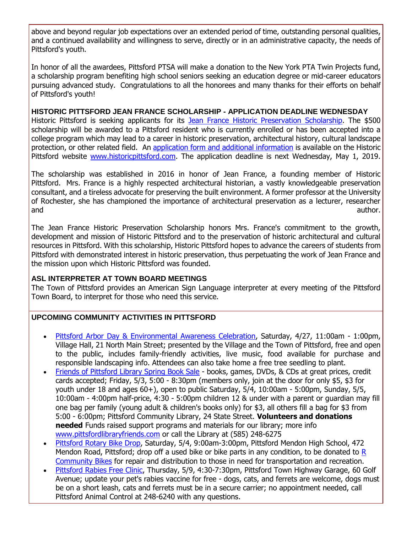above and beyond regular job expectations over an extended period of time, outstanding personal qualities, and a continued availability and willingness to serve, directly or in an administrative capacity, the needs of Pittsford's youth.

In honor of all the awardees, Pittsford PTSA will make a donation to the New York PTA Twin Projects fund, a scholarship program benefiting high school seniors seeking an education degree or mid-career educators pursuing advanced study. Congratulations to all the honorees and many thanks for their efforts on behalf of Pittsford's youth!

# **HISTORIC PITTSFORD JEAN FRANCE SCHOLARSHIP - APPLICATION DEADLINE WEDNESDAY**

Historic Pittsford is seeking applicants for its [Jean France Historic Preservation Scholarship.](http://r20.rs6.net/tn.jsp?f=001os6IWIa9T6cs6POUmznAr03ffSsE5BcsRG_rAVGRK0ZEL-1j5D-JiASeXfH70A1leEyPFZ13OMVSKA4B31O3UdeREhnI_qJYEM42yy8WyB6_fE5A2x0JUKhVMYdY8ch74MgME4qnDlw2HE9R-YbDr0dYmhvm_oaZx_o8TShhZQjrrI3YjxrjFoB5efPB9CVHkFRa3SMgws5SZ6AE-SFAnTCDQyFhSPaD8hwCSFcIxYjjGEQIoPLbuHXrSrEMiKZCBvm__TG4Wu5gl-P_fUfKbjOTs06tPx4Yj2MbE_fMDTkfssxq0Ou4cURUtFyOSCAO&c=cRUaQu7vLK3vSnq5f4iPQhJIv0PQXWA4LaRRA7ehtXl4ARSDIeEqNA==&ch=JVjVns_vbiQ7mzj58KT5JUjvdTbNlsTo9M0MtIYGvNDwR_pCqcNqcw==) The \$500 scholarship will be awarded to a Pittsford resident who is currently enrolled or has been accepted into a college program which may lead to a career in historic preservation, architectural history, cultural landscape protection, or other related field. An [application form and additional information](http://r20.rs6.net/tn.jsp?f=001os6IWIa9T6cs6POUmznAr03ffSsE5BcsRG_rAVGRK0ZEL-1j5D-JiHSg-PK2K3CC5uijfnPMXSqZNMHw-7N0H1DdEGJQEvSoDsWh4v__xCqJCcYhKs8UHPPQCjg4WZXJfwQVqht437UqRIfFIwoWikDaDaawuC60urwrWGPJrBTllsI9wA_k5p6pTVvOb3TbwQXDF6GLi38noDIwB4H7m5h-2TMecZnDl1d7iYWVNnlaUQmpW3ik_Y3X2JYTIrJyEdwiwqqXkhdlByHq790j8Aqstu1sC01SwTkrwjRya1x1EU9KNnN55vBj4JDyZ2GBS1zM06SlaEAnh84HaWiDpnhHduIpdYVmu9UfCZGiamY=&c=cRUaQu7vLK3vSnq5f4iPQhJIv0PQXWA4LaRRA7ehtXl4ARSDIeEqNA==&ch=JVjVns_vbiQ7mzj58KT5JUjvdTbNlsTo9M0MtIYGvNDwR_pCqcNqcw==) is available on the Historic Pittsford website [www.historicpittsford.com.](http://r20.rs6.net/tn.jsp?f=001os6IWIa9T6cs6POUmznAr03ffSsE5BcsRG_rAVGRK0ZEL-1j5D-JiM64NNP1fTxr30r1n-G_7TpQ34lAWjRvZUZ--SVRj4uVYiaaAUuIshI52qSXSUU9JlREPz3OVw_wi3m26YmwseJVZA2s464X0M_BiR6VUM6oX7sseBkOCvTMEeoWWKjhYoThOM6vZ5akqOWkSeguBbBaVK1GEx9CsILrrfMAVQ_-MrxGTFPliJenbXNpFMi0VXaZ1gmRyQ5Pwltdr9ffQuD71_07vrY-HWMx9zUm8yTzAc-qHhMD5G8=&c=cRUaQu7vLK3vSnq5f4iPQhJIv0PQXWA4LaRRA7ehtXl4ARSDIeEqNA==&ch=JVjVns_vbiQ7mzj58KT5JUjvdTbNlsTo9M0MtIYGvNDwR_pCqcNqcw==) The application deadline is next Wednesday, May 1, 2019.

The scholarship was established in 2016 in honor of Jean France, a founding member of Historic Pittsford. Mrs. France is a highly respected architectural historian, a vastly knowledgeable preservation consultant, and a tireless advocate for preserving the built environment. A former professor at the University of Rochester, she has championed the importance of architectural preservation as a lecturer, researcher and author. The contract of the contract of the contract of the contract of the contract of the contract of the contract of the contract of the contract of the contract of the contract of the contract of the contract of th

The Jean France Historic Preservation Scholarship honors Mrs. France's commitment to the growth, development and mission of Historic Pittsford and to the preservation of historic architectural and cultural resources in Pittsford. With this scholarship, Historic Pittsford hopes to advance the careers of students from Pittsford with demonstrated interest in historic preservation, thus perpetuating the work of Jean France and the mission upon which Historic Pittsford was founded.

# **ASL INTERPRETER AT TOWN BOARD MEETINGS**

The Town of Pittsford provides an American Sign Language interpreter at every meeting of the Pittsford Town Board, to interpret for those who need this service.

# **UPCOMING COMMUNITY ACTIVITIES IN PITTSFORD**

- [Pittsford Arbor Day & Environmental Awareness Celebration,](http://r20.rs6.net/tn.jsp?f=001os6IWIa9T6cs6POUmznAr03ffSsE5BcsRG_rAVGRK0ZEL-1j5D-JiPbo-FEII93bMjJxFtZzs0TSK0esRX8HxZTbE-eTCL7lc7RaHzxBOFluUDJ8U9sAjzy7mzK5RFywGVbEilQLAVyymT_2PM1EXMmcYvs44XerKrjqLUMDefTaXX4v58NFEXZijMOC3dZjMz8-zB9ff9Qx4UZDcWJ2en8jXXM5nfWmXQYSqVQgksy3df_oOItmxRmpS1HNaKMYQ2cuKk8ygIBfVpe-6iKp3CQsN6JOVAJOM3y4EC32lQ9TTUAEfHIM3JOE5d7Fl5mcZe1b7e39h0_aDRnk3aEM8Kkax4b8e7WXwn0yyQL-Cx48ZEpqCLzVQg==&c=cRUaQu7vLK3vSnq5f4iPQhJIv0PQXWA4LaRRA7ehtXl4ARSDIeEqNA==&ch=JVjVns_vbiQ7mzj58KT5JUjvdTbNlsTo9M0MtIYGvNDwR_pCqcNqcw==) Saturday, 4/27, 11:00am 1:00pm, Village Hall, 21 North Main Street; presented by the Village and the Town of Pittsford, free and open to the public, includes family-friendly activities, live music, food available for purchase and responsible landscaping info. Attendees can also take home a free tree seedling to plant.
- [Friends of Pittsford Library Spring Book Sale](http://r20.rs6.net/tn.jsp?f=001os6IWIa9T6cs6POUmznAr03ffSsE5BcsRG_rAVGRK0ZEL-1j5D-JiP-f9-YFeGdXGBKbp_NUwLqpsHyWWchJymwnC516jQOmSxUusqTqt8EBczo-A8kQUFzcshW8K6GugEBnWr2vTWVzksrCTu9JiMZsIFOTOJhq0oNdGlS-ne8SVmQ9UAK8oTSppjDfdsRJcOXAJcf-5HNMLuffSbEyHAwJ82ZmG3MvT1xQQs2wTIOWcp0UAuhTggk0pHALPXMQ28jAQfADowBv_9nUxlOfUPgylJmkR91hEqNrVfiaAxFx5Zuw42aSXx3ET11mSTu_&c=cRUaQu7vLK3vSnq5f4iPQhJIv0PQXWA4LaRRA7ehtXl4ARSDIeEqNA==&ch=JVjVns_vbiQ7mzj58KT5JUjvdTbNlsTo9M0MtIYGvNDwR_pCqcNqcw==) books, games, DVDs, & CDs at great prices, credit cards accepted; Friday, 5/3, 5:00 - 8:30pm (members only, join at the door for only \$5, \$3 for youth under 18 and ages 60+), open to public Saturday, 5/4, 10:00am - 5:00pm, Sunday, 5/5, 10:00am - 4:00pm half-price, 4:30 - 5:00pm children 12 & under with a parent or guardian may fill one bag per family (young adult & children's books only) for \$3, all others fill a bag for \$3 from 5:00 - 6:00pm; Pittsford Community Library, 24 State Street. **Volunteers and donations needed** Funds raised support programs and materials for our library; more info [www.pittsfordlibraryfriends.com](http://r20.rs6.net/tn.jsp?f=001os6IWIa9T6cs6POUmznAr03ffSsE5BcsRG_rAVGRK0ZEL-1j5D-JiP-f9-YFeGdXSDdN5TCFicJg14gYVQ74veGsJfSs0w1xnxqQ-2RkP7aggrJJQuAW9ZYoV53Wt78uTsnuRfGkzu2C-frlc28VABZXZXOzS8yPa184Bt4kIzWiogy_VfbvZRkqgkLX0iknkrEuQf6AH8nusY86DY-IvJh9dUxaGkkqYacMyVFGBcZKJQxU3HPydGscP_yFfL1Z-MKomLf3ijUEfNTH3gCDjb-nSNDDQs1fxSn4l8jh6P1mF-tfXKsY1Q==&c=cRUaQu7vLK3vSnq5f4iPQhJIv0PQXWA4LaRRA7ehtXl4ARSDIeEqNA==&ch=JVjVns_vbiQ7mzj58KT5JUjvdTbNlsTo9M0MtIYGvNDwR_pCqcNqcw==) or call the Library at (585) 248-6275
- [Pittsford Rotary Bike Drop,](http://r20.rs6.net/tn.jsp?f=001os6IWIa9T6cs6POUmznAr03ffSsE5BcsRG_rAVGRK0ZEL-1j5D-JiJEWkL8511uTWtKhJqRhIKkJuJ1Q8yR2lU3AHHYWhTwhFkamfzfigxnebi2dzUdXgVAP6B3pgx-SiZVWIYnkEETwrivAcBydsmMUe_MMoe4obHOAaGIa6fQhbNXRUEsE8sIYX-EE62f0XrM0qFcpfdZ1oyEyO_JoRWeIDvp-kZtn4BSR-1a7lYoD_5SO-p-cI1djJa42c-f0jKF7riepaNkUrvh24eT8al6aFF4w7ZW4mChqg_u5RZBmqCRxUOxEig==&c=cRUaQu7vLK3vSnq5f4iPQhJIv0PQXWA4LaRRA7ehtXl4ARSDIeEqNA==&ch=JVjVns_vbiQ7mzj58KT5JUjvdTbNlsTo9M0MtIYGvNDwR_pCqcNqcw==) Saturday, 5/4, 9:00am-3:00pm, Pittsford Mendon High School, 472 Mendon Road, Pittsford; drop off a used bike or bike parts in any condition, to be donated to [R](http://r20.rs6.net/tn.jsp?f=001os6IWIa9T6cs6POUmznAr03ffSsE5BcsRG_rAVGRK0ZEL-1j5D-JiEBKdgfoTuIQrAs7_3X-YJXeguIEqtT9xapoZuWFftP-a70Wz2oZhcWFOwySEUb4VeEKJfkXyIVQkHKaS9noh5iW5lhAaMEQ94a5mrV6rp2iRq3bQCel5uI78DA_P350yLPe94utzO_JZfU5GF-_Hj1hjlK7VkteQQFRxYezMixzELRtRCGkMIgfavPDGHXuyTrQZZJ0WIrReciEXGYtRJS7gFmc6T-8RY4N-HfDBPSNFyYj9r0au7I=&c=cRUaQu7vLK3vSnq5f4iPQhJIv0PQXWA4LaRRA7ehtXl4ARSDIeEqNA==&ch=JVjVns_vbiQ7mzj58KT5JUjvdTbNlsTo9M0MtIYGvNDwR_pCqcNqcw==)  [Community Bikes](http://r20.rs6.net/tn.jsp?f=001os6IWIa9T6cs6POUmznAr03ffSsE5BcsRG_rAVGRK0ZEL-1j5D-JiEBKdgfoTuIQrAs7_3X-YJXeguIEqtT9xapoZuWFftP-a70Wz2oZhcWFOwySEUb4VeEKJfkXyIVQkHKaS9noh5iW5lhAaMEQ94a5mrV6rp2iRq3bQCel5uI78DA_P350yLPe94utzO_JZfU5GF-_Hj1hjlK7VkteQQFRxYezMixzELRtRCGkMIgfavPDGHXuyTrQZZJ0WIrReciEXGYtRJS7gFmc6T-8RY4N-HfDBPSNFyYj9r0au7I=&c=cRUaQu7vLK3vSnq5f4iPQhJIv0PQXWA4LaRRA7ehtXl4ARSDIeEqNA==&ch=JVjVns_vbiQ7mzj58KT5JUjvdTbNlsTo9M0MtIYGvNDwR_pCqcNqcw==) for repair and distribution to those in need for transportation and recreation.
- [Pittsford Rabies Free Clinic,](http://r20.rs6.net/tn.jsp?f=001os6IWIa9T6cs6POUmznAr03ffSsE5BcsRG_rAVGRK0ZEL-1j5D-JiEhwkR5Gl6yLTqxVO_Gj9_RVOnxXJRoE2iAlO2Lt6UdW9B1IbTLG8GMXNUAGM3r4lE9c_XoqnTkF6Y_YTBnquKpMLkVjNC7W_W-IE9aPP3-bsrLpYKQ9JXjgfqcg2_SOmShxZbxV6VJAxRayvqjA1uf9ZUVvlZ3t-OTHCewETpC9UYgiVq9v8HyNZzehl14AHt5YvvIZxYVEP_JLsHokhHcAYBXI4BTCWa-nTW60Sx0DtpuvrY1ve7McVqqU-H0kUN-LNCGG7Ku7Rqxp5AbB-fULzE2s8p9dIpF2g_i8SAcD&c=cRUaQu7vLK3vSnq5f4iPQhJIv0PQXWA4LaRRA7ehtXl4ARSDIeEqNA==&ch=JVjVns_vbiQ7mzj58KT5JUjvdTbNlsTo9M0MtIYGvNDwR_pCqcNqcw==) Thursday, 5/9, 4:30-7:30pm, Pittsford Town Highway Garage, 60 Golf Avenue; update your pet's rabies vaccine for free - dogs, cats, and ferrets are welcome, dogs must be on a short leash, cats and ferrets must be in a secure carrier; no appointment needed, call Pittsford Animal Control at 248-6240 with any questions.